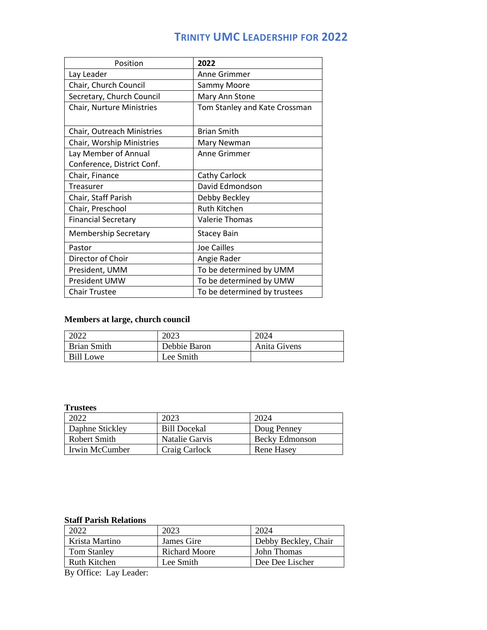# **TRINITY UMC LEADERSHIP FOR 2022**

| Position                    | 2022                          |
|-----------------------------|-------------------------------|
| Lay Leader                  | Anne Grimmer                  |
| Chair, Church Council       | Sammy Moore                   |
| Secretary, Church Council   | Mary Ann Stone                |
| Chair, Nurture Ministries   | Tom Stanley and Kate Crossman |
|                             |                               |
| Chair, Outreach Ministries  | <b>Brian Smith</b>            |
| Chair, Worship Ministries   | Mary Newman                   |
| Lay Member of Annual        | Anne Grimmer                  |
| Conference, District Conf.  |                               |
| Chair, Finance              | Cathy Carlock                 |
| Treasurer                   | David Edmondson               |
| Chair, Staff Parish         | Debby Beckley                 |
| Chair, Preschool            | Ruth Kitchen                  |
| <b>Financial Secretary</b>  | <b>Valerie Thomas</b>         |
| <b>Membership Secretary</b> | <b>Stacey Bain</b>            |
| Pastor                      | <b>Joe Cailles</b>            |
| Director of Choir           | Angie Rader                   |
| President, UMM              | To be determined by UMM       |
| President UMW               | To be determined by UMW       |
| <b>Chair Trustee</b>        | To be determined by trustees  |

## **Members at large, church council**

| 2022               | 2023         | 2024         |
|--------------------|--------------|--------------|
| <b>Brian Smith</b> | Debbie Baron | Anita Givens |
| Bill Lowe          | Lee Smith    |              |

### **Trustees**

| 2022            | 2023                | 2024                  |
|-----------------|---------------------|-----------------------|
| Daphne Stickley | <b>Bill Docekal</b> | Doug Penney           |
| Robert Smith    | Natalie Garvis      | <b>Becky Edmonson</b> |
| Irwin McCumber  | Craig Carlock       | Rene Hasey            |

#### **Staff Parish Relations**

| 2022               | 2023                 | 2024                 |
|--------------------|----------------------|----------------------|
| Krista Martino     | James Gire           | Debby Beckley, Chair |
| <b>Tom Stanley</b> | <b>Richard Moore</b> | John Thomas          |
| Ruth Kitchen       | Lee Smith            | Dee Dee Lischer      |

By Office: Lay Leader: